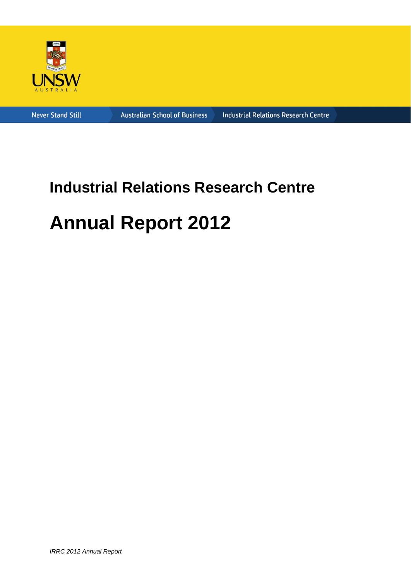

**Never Stand Still** 

**Australian School of Business** 

**Industrial Relations Research Centre** 

# **Industrial Relations Research Centre Annual Report 2012**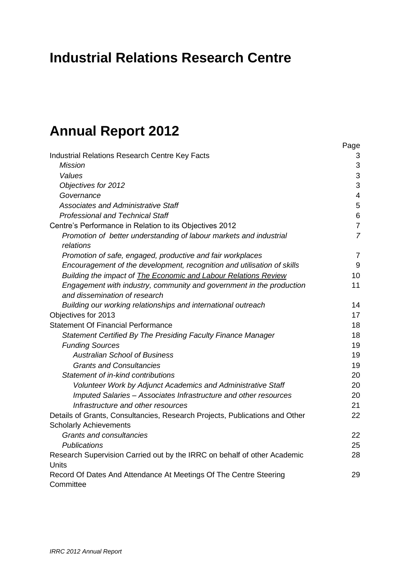# **Industrial Relations Research Centre**

# **Annual Report 2012**

| <b>Industrial Relations Research Centre Key Facts</b>                             | 3              |
|-----------------------------------------------------------------------------------|----------------|
| <b>Mission</b>                                                                    | 3              |
| Values                                                                            | 3              |
| Objectives for 2012                                                               | 3              |
| Governance                                                                        | $\overline{4}$ |
| <b>Associates and Administrative Staff</b>                                        | 5              |
| <b>Professional and Technical Staff</b>                                           | 6              |
| Centre's Performance in Relation to its Objectives 2012                           | $\overline{7}$ |
| Promotion of better understanding of labour markets and industrial<br>relations   | $\overline{7}$ |
| Promotion of safe, engaged, productive and fair workplaces                        | $\overline{7}$ |
| Encouragement of the development, recognition and utilisation of skills           | 9              |
| Building the impact of <b>The Economic and Labour Relations Review</b>            | 10             |
| Engagement with industry, community and government in the production              | 11             |
| and dissemination of research                                                     |                |
| Building our working relationships and international outreach                     | 14             |
| Objectives for 2013                                                               | 17             |
| <b>Statement Of Financial Performance</b>                                         | 18             |
| Statement Certified By The Presiding Faculty Finance Manager                      | 18             |
| <b>Funding Sources</b>                                                            | 19             |
| <b>Australian School of Business</b>                                              | 19             |
| <b>Grants and Consultancies</b>                                                   | 19             |
| Statement of in-kind contributions                                                | 20             |
| Volunteer Work by Adjunct Academics and Administrative Staff                      | 20             |
| Imputed Salaries - Associates Infrastructure and other resources                  | 20             |
| Infrastructure and other resources                                                | 21             |
| Details of Grants, Consultancies, Research Projects, Publications and Other       | 22             |
| <b>Scholarly Achievements</b>                                                     |                |
| <b>Grants and consultancies</b>                                                   | 22             |
| <b>Publications</b>                                                               | 25             |
| Research Supervision Carried out by the IRRC on behalf of other Academic<br>Units | 28             |
| Record Of Dates And Attendance At Meetings Of The Centre Steering                 | 29             |
| Committee                                                                         |                |

Page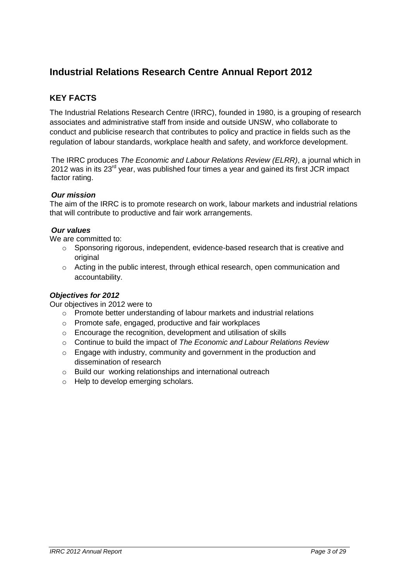# **Industrial Relations Research Centre Annual Report 2012**

# **KEY FACTS**

The Industrial Relations Research Centre (IRRC), founded in 1980, is a grouping of research associates and administrative staff from inside and outside UNSW, who collaborate to conduct and publicise research that contributes to policy and practice in fields such as the regulation of labour standards, workplace health and safety, and workforce development.

The IRRC produces *The Economic and Labour Relations Review (ELRR)*, a journal which in 2012 was in its  $23<sup>rd</sup>$  year, was published four times a year and gained its first JCR impact factor rating.

#### *Our mission*

The aim of the IRRC is to promote research on work, labour markets and industrial relations that will contribute to productive and fair work arrangements.

#### *Our values*

We are committed to:

- $\circ$  Sponsoring rigorous, independent, evidence-based research that is creative and original
- o Acting in the public interest, through ethical research, open communication and accountability.

#### *Objectives for 2012*

Our objectives in 2012 were to

- o Promote better understanding of labour markets and industrial relations
- o Promote safe, engaged, productive and fair workplaces
- o Encourage the recognition, development and utilisation of skills
- o Continue to build the impact of *The Economic and Labour Relations Review*
- o Engage with industry, community and government in the production and dissemination of research
- o Build our working relationships and international outreach
- o Help to develop emerging scholars.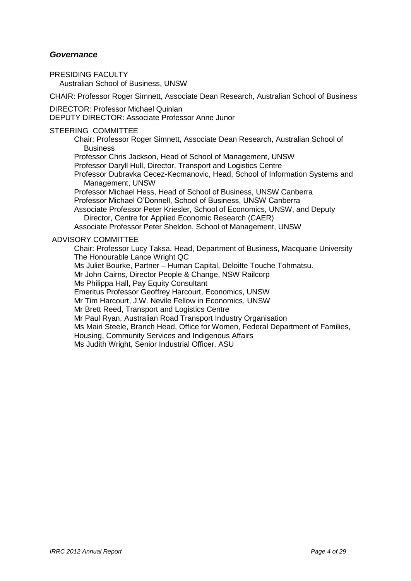#### *Governance*

PRESIDING FACULTY Australian School of Business, UNSW

CHAIR: [Professor Roger Simnett,](http://www.asb.unsw.edu.au/schools/Pages/RogerSimnett.aspx) Associate Dean Research, Australian School of Business

DIRECTOR: [Professor Michael Quinlan](http://www.asb.unsw.edu.au/schools/Pages/MichaelQuinlan.aspx)

DEPUTY DIRECTOR: [Associate Professor Anne Junor](http://www.asb.unsw.edu.au/schools/Pages/AnneJunor.aspx)

#### STEERING COMMITTEE

Chair: [Professor Roger Simnett,](http://www.asb.unsw.edu.au/schools/Pages/RogerSimnett.aspx) Associate Dean Research, Australian School of **Business** 

[Professor Chris Jackson,](http://www.asb.unsw.edu.au/schools/Pages/ChrisJackson.aspx) Head of School of Management, UNSW

[Professor Daryll Hull,](http://www.productive.com.au/index.php?option=com_content&view=article&id=5:daryll-hull&catid=3:our-people&Itemid=10) Director, Transport and Logistics Centre

[Professor Dubravka Cecez-Kecmanovic,](http://www.asb.unsw.edu.au/schools/Pages/DubravkaCecez-Kecmanovic.aspx) Head, School of Information Systems and Management, UNSW

Professor Michael Hess, Head of School of Business, UNSW Canberra

Professor Michael O"Donnell, School of Business, UNSW Canberra

[Associate Professor Peter Kriesler,](http://www.asb.unsw.edu.au/schools/Pages/PeterKriesler.aspx) School of Economics, UNSW, and Deputy Director, Centre for Applied Economic Research (CAER)

[Associate Professor Peter Sheldon,](http://www.asb.unsw.edu.au/schools/Pages/PeterSheldon.aspx) School of Management, UNSW

#### ADVISORY COMMITTEE

Chair: [Professor Lucy Taksa,](http://www.businessandeconomics.mq.edu.au/contact_the_faculty/all_fbe_staff/lucy_taksa) Head, Department of Business, Macquarie University [The Honourable Lance Wright QC](http://www.ntc.gov.au/viewpage.aspx?documentid=1724) [Ms Juliet Bourke,](http://www.aequus.com.au/juliet_bourke_aequus_partners.html) Partner – Human Capital, Deloitte Touche Tohmatsu.

[Mr John Cairns,](http://www.health.qld.gov.au/about_qhealth/org_structure/qh_structure.pdf) Director People & Change, NSW Railcorp

[Ms Philippa](http://www.eowa.gov.au/Contact_Us.asp) Hall, Pay Equity Consultant

[Emeritus Professor Geoffrey Harcourt,](http://www.assa.edu.au/fellows/profile.php?id=130) Economics, UNSW

Mr Tim [Harcourt,](http://www.austrade.gov.au/Tim-Harcourt-Biography/default.aspx) J.W. Nevile Fellow in Economics, UNSW

[Mr Brett Reed,](http://www.austrade.gov.au/Tim-Harcourt-Biography/default.aspx) Transport and Logistics Centre

[Mr Paul Ryan,](http://www.artio.org.au/) Australian Road Transport Industry Organisation

[Ms Mairi Steele,](http://www.equalityrightsalliance.org.au/news/congratulations-eowa-and-office-women-appointments) Branch Head, Office for Women, Federal Department of Families,

Housing, Community Services and Indigenous Affairs

Ms Judith Wright, Senior Industrial Officer, ASU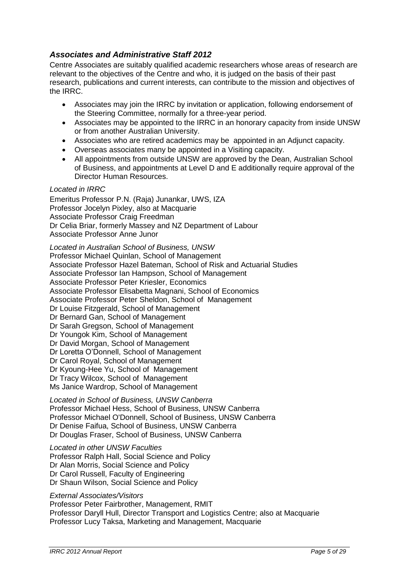## *Associates and Administrative Staff 2012*

Centre Associates are suitably qualified academic researchers whose areas of research are relevant to the objectives of the Centre and who, it is judged on the basis of their past research, publications and current interests, can contribute to the mission and objectives of the IRRC.

- Associates may join the IRRC by invitation or application, following endorsement of the Steering Committee, normally for a three-year period.
- Associates may be appointed to the IRRC in an honorary capacity from inside UNSW or from another Australian University.
- Associates who are retired academics may be appointed in an Adjunct capacity.
- Overseas associates many be appointed in a Visiting capacity.
- All appointments from outside UNSW are approved by the Dean, Australian School of Business, and appointments at Level D and E additionally require approval of the Director Human Resources.

#### *Located in IRRC*

Emeritus Professor P.N. (Raja) Junankar, UWS, IZA Professor Jocelyn Pixley, also at Macquarie Associate Professor Craig Freedman Dr Celia Briar, formerly Massey and NZ Department of Labour Associate Professor Anne Junor

*Located in Australian School of Business, UNSW* Professor Michael Quinlan, School of Management Associate Professor Hazel Bateman, School of Risk and Actuarial Studies Associate Professor Ian Hampson, School of Management Associate Professor Peter Kriesler, Economics Associate Professor Elisabetta Magnani, School of Economics Associate Professor Peter Sheldon, School of Management Dr Louise Fitzgerald, School of Management Dr Bernard Gan, School of Management Dr Sarah Gregson, School of Management Dr Youngok Kim, School of Management Dr David Morgan, School of Management Dr Loretta O"Donnell, School of Management Dr Carol Royal, School of Management Dr Kyoung-Hee Yu, School of Management Dr Tracy Wilcox, School of Management Ms Janice Wardrop, School of Management

*Located in School of Business, UNSW Canberra*  Professor Michael Hess, School of Business, UNSW Canberra Professor Michael O'Donnell, School of Business, UNSW Canberra Dr Denise Faifua, School of Business, UNSW Canberra Dr Douglas Fraser, School of Business, UNSW Canberra

*Located in other UNSW Faculties*  Professor Ralph Hall, Social Science and Policy Dr Alan Morris, Social Science and Policy Dr Carol Russell, Faculty of Engineering Dr Shaun Wilson, Social Science and Policy

#### *External Associates/Visitors*

Professor Peter Fairbrother, Management, RMIT Professor Daryll Hull, Director Transport and Logistics Centre; also at Macquarie Professor Lucy Taksa, Marketing and Management, Macquarie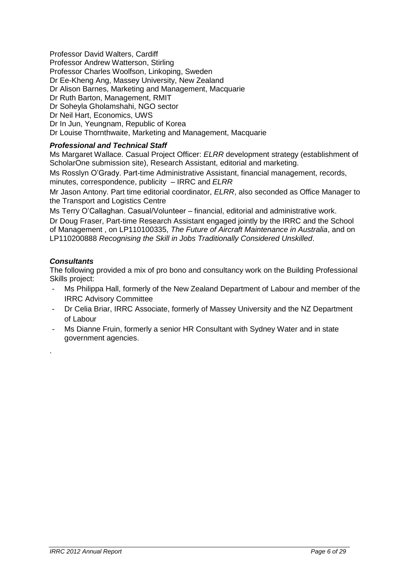Professor David Walters, Cardiff

Professor Andrew Watterson, Stirling

Professor Charles Woolfson, Linkoping, Sweden

Dr Ee-Kheng Ang, Massey University, New Zealand

Dr Alison Barnes, Marketing and Management, Macquarie

Dr Ruth Barton, Management, RMIT

Dr Soheyla Gholamshahi, NGO sector

Dr Neil Hart, Economics, UWS

Dr In Jun, Yeungnam, Republic of Korea

Dr Louise Thornthwaite, Marketing and Management, Macquarie

#### *Professional and Technical Staff*

Ms Margaret Wallace. Casual Project Officer: *ELRR* development strategy (establishment of ScholarOne submission site), Research Assistant, editorial and marketing.

Ms Rosslyn O"Grady. Part-time Administrative Assistant, financial management, records, minutes, correspondence, publicity – IRRC and *ELRR*

Mr Jason Antony. Part time editorial coordinator, *ELRR*, also seconded as Office Manager to the Transport and Logistics Centre

Ms Terry O"Callaghan. Casual/Volunteer – financial, editorial and administrative work.

Dr Doug Fraser, Part-time Research Assistant engaged jointly by the IRRC and the School of Management , on LP110100335, *The Future of Aircraft Maintenance in Australia*, and on LP110200888 *Recognising the Skill in Jobs Traditionally Considered Unskilled*.

#### *Consultants*

.

The following provided a mix of pro bono and consultancy work on the Building Professional Skills project:

- Ms Philippa Hall, formerly of the New Zealand Department of Labour and member of the IRRC Advisory Committee
- Dr Celia Briar, IRRC Associate, formerly of Massey University and the NZ Department of Labour
- Ms Dianne Fruin, formerly a senior HR Consultant with Sydney Water and in state government agencies.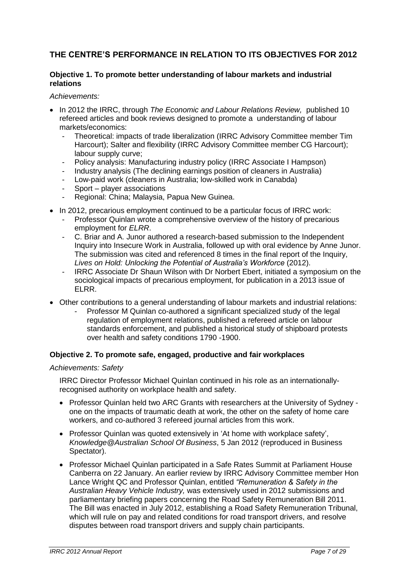# **THE CENTRE'S PERFORMANCE IN RELATION TO ITS OBJECTIVES FOR 2012**

#### **Objective 1. To promote better understanding of labour markets and industrial relations**

*Achievements:* 

- In 2012 the IRRC, through *The Economic and Labour Relations Review,* published 10 refereed articles and book reviews designed to promote a understanding of labour markets/economics:
	- Theoretical: impacts of trade liberalization (IRRC Advisory Committee member Tim Harcourt); Salter and flexibility (IRRC Advisory Committee member CG Harcourt); labour supply curve;
	- Policy analysis: Manufacturing industry policy (IRRC Associate I Hampson)
	- Industry analysis (The declining earnings position of cleaners in Australia)
	- Low-paid work (cleaners in Australia; low-skilled work in Canabda)
	- Sport player associations
	- Regional: China; Malaysia, Papua New Guinea.
- In 2012, precarious employment continued to be a particular focus of IRRC work:
	- Professor Quinlan wrote a comprehensive overview of the history of precarious employment for *ELRR*.
	- C. Briar and A. Junor authored a research-based submission to the Independent Inquiry into Insecure Work in Australia, followed up with oral evidence by Anne Junor. The submission was cited and referenced 8 times in the final report of the Inquiry, *Lives on Hold: Unlocking the Potential of Australia's Workforce* (2012).
	- IRRC Associate Dr Shaun Wilson with Dr Norbert Ebert, initiated a symposium on the sociological impacts of precarious employment, for publication in a 2013 issue of ELRR.
- Other contributions to a general understanding of labour markets and industrial relations:
	- Professor M Quinlan co-authored a significant specialized study of the legal regulation of employment relations, published a refereed article on labour standards enforcement, and published a historical study of shipboard protests over health and safety conditions 1790 -1900.

#### **Objective 2. To promote safe, engaged, productive and fair workplaces**

#### *Achievements: Safety*

IRRC Director Professor Michael Quinlan continued in his role as an internationallyrecognised authority on workplace health and safety.

- Professor Quinlan held two ARC Grants with researchers at the University of Sydney one on the impacts of traumatic death at work, the other on the safety of home care workers, and co-authored 3 refereed journal articles from this work.
- Professor Quinlan was quoted extensively in 'At home with workplace safety', *[Knowledge@Australian School Of Business](http://www.businessspectator.com.au/contributor/knowledgeaustralian-school-business)*, 5 Jan 2012 (reproduced in Business Spectator).
- Professor Michael Quinlan participated in a Safe Rates Summit at Parliament House Canberra on 22 January. An earlier review by IRRC Advisory Committee member Hon Lance Wright QC and Professor Quinlan, entitled *"Remuneration & Safety in the Australian Heavy Vehicle Industry,* was extensively used in 2012 submissions and parliamentary briefing papers concerning the Road Safety Remuneration Bill 2011. The Bill was enacted in July 2012, establishing a Road Safety Remuneration Tribunal, which will rule on pay and related conditions for road transport drivers, and resolve disputes between road transport drivers and supply chain participants.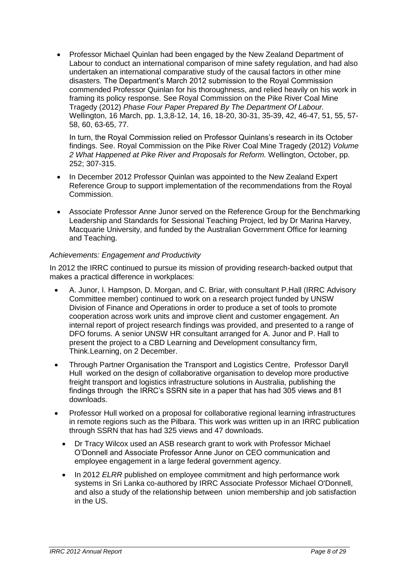Professor Michael Quinlan had been engaged by the New Zealand Department of Labour to conduct an international comparison of mine safety regulation, and had also undertaken an international comparative study of the causal factors in other mine disasters. The Department"s March 2012 submission to the Royal Commission commended Professor Quinlan for his thoroughness, and relied heavily on his work in framing its policy response. See Royal Commission on the Pike River Coal Mine Tragedy (2012) *Phase Four Paper Prepared By The Department Of Labour.* Wellington, 16 March, pp. 1,3,8-12, 14, 16, 18-20, 30-31, 35-39, 42, 46-47, 51, 55, 57- 58, 60, 63-65, 77.

In turn, the Royal Commission relied on Professor Quinlans"s research in its October findings. See. Royal Commission on the Pike River Coal Mine Tragedy (2012) *Volume 2 What Happened at Pike River and Proposals for Reform.* Wellington, October, pp. 252; 307-315.

- In December 2012 Professor Quinlan was appointed to the New Zealand Expert Reference Group to support implementation of the recommendations from the Royal Commission.
- Associate Professor Anne Junor served on the Reference Group for the Benchmarking Leadership and Standards for Sessional Teaching Project, led by Dr Marina Harvey, Macquarie University, and funded by the Australian Government Office for learning and Teaching.

#### *Achievements: Engagement and Productivity*

In 2012 the IRRC continued to pursue its mission of providing research-backed output that makes a practical difference in workplaces:

- A. Junor, I. Hampson, D. Morgan, and C. Briar, with consultant P.Hall (IRRC Advisory Committee member) continued to work on a research project funded by UNSW Division of Finance and Operations in order to produce a set of tools to promote cooperation across work units and improve client and customer engagement. An internal report of project research findings was provided, and presented to a range of DFO forums. A senior UNSW HR consultant arranged for A. Junor and P. Hall to present the project to a CBD Learning and Development consultancy firm, Think.Learning, on 2 December.
- Through Partner Organisation the Transport and Logistics Centre, Professor Daryll Hull worked on the design of collaborative organisation to develop more productive freight transport and logistics infrastructure solutions in Australia, publishing the findings through the IRRC"s SSRN site in a paper that has had 305 views and 81 downloads.
- Professor Hull worked on a proposal for collaborative regional learning infrastructures in remote regions such as the Pilbara. This work was written up in an IRRC publication through SSRN that has had 325 views and 47 downloads.
	- Dr Tracy Wilcox used an ASB research grant to work with Professor Michael O"Donnell and Associate Professor Anne Junor on CEO communication and employee engagement in a large federal government agency.
	- In 2012 *ELRR* published on employee commitment and high performance work systems in Sri Lanka co-authored by IRRC Associate Professor Michael O'Donnell, and also a study of the relationship between union membership and job satisfaction in the US.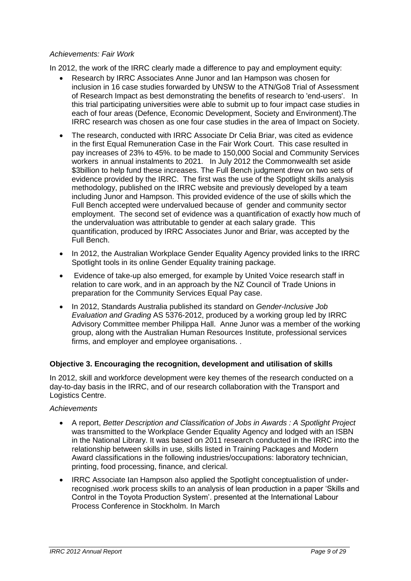#### *Achievements: Fair Work*

In 2012, the work of the IRRC clearly made a difference to pay and employment equity:

- Research by IRRC Associates Anne Junor and Ian Hampson was chosen for inclusion in 16 case studies forwarded by UNSW to the ATN/Go8 Trial of Assessment of Research Impact as best demonstrating the benefits of research to 'end-users'. In this trial participating universities were able to submit up to four impact case studies in each of four areas (Defence, Economic Development, Society and Environment).The IRRC research was chosen as one four case studies in the area of Impact on Society.
- The research, conducted with IRRC Associate Dr Celia Briar, was cited as evidence in the first Equal Remuneration Case in the Fair Work Court. This case resulted in pay increases of 23% to 45%. to be made to 150,000 Social and Community Services workers in annual instalments to 2021. In July 2012 the Commonwealth set aside \$3billion to help fund these increases. The Full Bench judgment drew on two sets of evidence provided by the IRRC. The first was the use of the Spotlight skills analysis methodology, published on the IRRC website and previously developed by a team including Junor and Hampson. This provided evidence of the use of skills which the Full Bench accepted were undervalued because of gender and community sector employment. The second set of evidence was a quantification of exactly how much of the undervaluation was attributable to gender at each salary grade. This quantification, produced by IRRC Associates Junor and Briar, was accepted by the Full Bench.
- In 2012, the Australian Workplace Gender Equality Agency provided links to the IRRC Spotlight tools in its online Gender Equality training package.
- Evidence of take-up also emerged, for example by United Voice research staff in relation to care work, and in an approach by the NZ Council of Trade Unions in preparation for the Community Services Equal Pay case.
- In 2012, Standards Australia published its standard on *Gender-Inclusive Job Evaluation and Grading* AS 5376-2012, produced by a working group led by IRRC Advisory Committee member Philippa Hall. Anne Junor was a member of the working group, along with the Australian Human Resources Institute, professional services firms, and employer and employee organisations. .

#### **Objective 3. Encouraging the recognition, development and utilisation of skills**

In 2012, skill and workforce development were key themes of the research conducted on a day-to-day basis in the IRRC, and of our research collaboration with the Transport and Logistics Centre.

#### *Achievements*

- A report, *Better Description and Classification of Jobs in Awards : A Spotlight Project* was transmitted to the Workplace Gender Equality Agency and lodged with an ISBN in the National Library. It was based on 2011 research conducted in the IRRC into the relationship between skills in use, skills listed in Training Packages and Modern Award classifications in the following industries/occupations: laboratory technician, printing, food processing, finance, and clerical.
- IRRC Associate Ian Hampson also applied the Spotlight conceptualistion of underrecognised .work process skills to an analysis of lean production in a paper "Skills and Control in the Toyota Production System". presented at the International Labour Process Conference in Stockholm. In March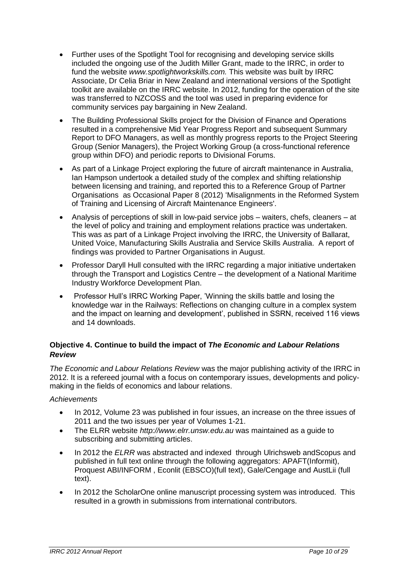- Further uses of the Spotlight Tool for recognising and developing service skills included the ongoing use of the Judith Miller Grant, made to the IRRC, in order to fund the website *www.spotlightworkskills.com.* This website was built by IRRC Associate, Dr Celia Briar in New Zealand and international versions of the Spotlight toolkit are available on the IRRC website. In 2012, funding for the operation of the site was transferred to NZCOSS and the tool was used in preparing evidence for community services pay bargaining in New Zealand.
- The Building Professional Skills project for the Division of Finance and Operations resulted in a comprehensive Mid Year Progress Report and subsequent Summary Report to DFO Managers, as well as monthly progress reports to the Project Steering Group (Senior Managers), the Project Working Group (a cross-functional reference group within DFO) and periodic reports to Divisional Forums.
- As part of a Linkage Project exploring the future of aircraft maintenance in Australia, Ian Hampson undertook a detailed study of the complex and shifting relationship between licensing and training, and reported this to a Reference Group of Partner Organisations as Occasional Paper 8 (2012) "Misalignments in the Reformed System of Training and Licensing of Aircraft Maintenance Engineers'.
- Analysis of perceptions of skill in low-paid service jobs waiters, chefs, cleaners at the level of policy and training and employment relations practice was undertaken. This was as part of a Linkage Project involving the IRRC, the University of Ballarat, United Voice, Manufacturing Skills Australia and Service Skills Australia. A report of findings was provided to Partner Organisations in August.
- Professor Daryll Hull consulted with the IRRC regarding a major initiative undertaken through the Transport and Logistics Centre – the development of a National Maritime Industry Workforce Development Plan.
- Professor Hull"s IRRC Working Paper, "Winning the skills battle and losing the knowledge war in the Railways: Reflections on changing culture in a complex system and the impact on learning and development", published in SSRN, received 116 views and 14 downloads.

### **Objective 4. Continue to build the impact of** *The Economic and Labour Relations Review*

*The Economic and Labour Relations Review* was the major publishing activity of the IRRC in 2012. It is a refereed journal with a focus on contemporary issues, developments and policymaking in the fields of economics and labour relations.

#### *Achievements*

- In 2012, Volume 23 was published in four issues, an increase on the three issues of 2011 and the two issues per year of Volumes 1-21.
- The ELRR website *http://www.elrr.unsw.edu.au* was maintained as a guide to subscribing and submitting articles.
- In 2012 the *ELRR* was abstracted and indexed through Ulrichsweb andScopus and published in full text online through the following aggregators: APAFT(Informit), Proquest ABI/INFORM , Econlit (EBSCO)(full text), Gale/Cengage and AustLii (full text).
- In 2012 the ScholarOne online manuscript processing system was introduced. This resulted in a growth in submissions from international contributors.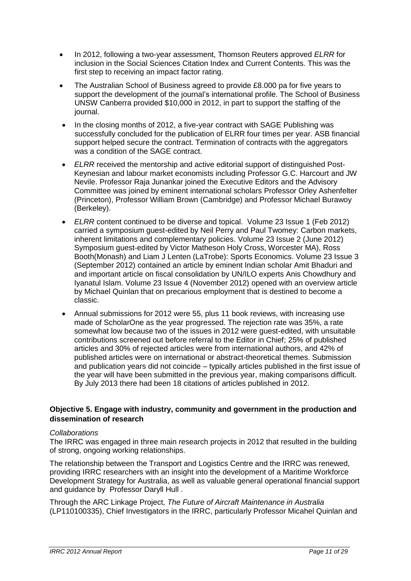- In 2012, following a two-year assessment, Thomson Reuters approved *ELRR* for inclusion in the Social Sciences Citation Index and Current Contents. This was the first step to receiving an impact factor rating.
- The Australian School of Business agreed to provide £8.000 pa for five years to support the development of the journal's international profile. The School of Business UNSW Canberra provided \$10,000 in 2012, in part to support the staffing of the journal.
- In the closing months of 2012, a five-year contract with SAGE Publishing was successfully concluded for the publication of ELRR four times per year. ASB financial support helped secure the contract. Termination of contracts with the aggregators was a condition of the SAGE contract.
- *ELRR* received the mentorship and active editorial support of distinguished Post-Keynesian and labour market economists including Professor G.C. Harcourt and JW Nevile. Professor Raja Junankar joined the Executive Editors and the Advisory Committee was joined by eminent international scholars Professor Orley Ashenfelter (Princeton), Professor William Brown (Cambridge) and Professor Michael Burawoy (Berkeley).
- *ELRR* content continued to be diverse and topical. [Volume 23 Issue 1](http://search.informit.com.au/browsePublication;py=2011;vol=22;res=IELBUS;issn=1035-3046;iss=1) (Feb 2012) carried a symposium guest-edited by Neil Perry and Paul Twomey: Carbon markets, inherent limitations and complementary policies. [Volume 23 Issue 2](http://search.informit.com.au/browsePublication;py=2011;vol=22;res=IELBUS;issn=1035-3046;iss=2) (June 2012) Symposium guest-edited by Victor Matheson Holy Cross, Worcester MA), Ross Booth(Monash) and Liam J Lenten (LaTrobe): Sports Economics. [Volume 23 Issue 3](http://search.informit.com.au/browsePublication;py=2011;vol=22;res=IELBUS;issn=1035-3046;iss=3) (September 2012) contained an article by eminent Indian scholar Amit Bhaduri and and important article on fiscal consolidation by UN/ILO experts Anis Chowdhury and Iyanatul Islam. Volume 23 Issue 4 (November 2012) opened with an overview article by Michael Quinlan that on precarious employment that is destined to become a classic.
- Annual submissions for 2012 were 55, plus 11 book reviews, with increasing use made of ScholarOne as the year progressed. The rejection rate was 35%, a rate somewhat low because two of the issues in 2012 were guest-edited, with unsuitable contributions screened out before referral to the Editor in Chief; 25% of published articles and 30% of rejected articles were from international authors, and 42% of published articles were on international or abstract-theoretical themes. Submission and publication years did not coincide – typically articles published in the first issue of the year will have been submitted in the previous year, making comparisons difficult. By July 2013 there had been 18 citations of articles published in 2012.

#### **Objective 5. Engage with industry, community and government in the production and dissemination of research**

#### *Collaborations*

The IRRC was engaged in three main research projects in 2012 that resulted in the building of strong, ongoing working relationships.

The relationship between the Transport and Logistics Centre and the IRRC was renewed, providing IRRC researchers with an insight into the development of a Maritime Workforce Development Strategy for Australia, as well as valuable general operational financial support and guidance by Professor Daryll Hull .

Through the ARC Linkage Project, *The Future of Aircraft Maintenance in Australia* (LP110100335), Chief Investigators in the IRRC, particularly Professor Micahel Quinlan and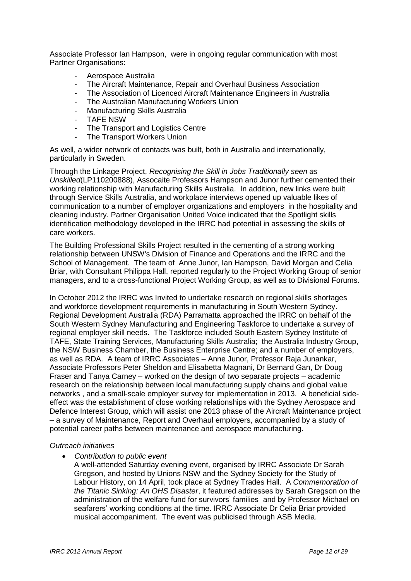Associate Professor Ian Hampson, were in ongoing regular communication with most Partner Organisations:

- Aerospace Australia
- The Aircraft Maintenance, Repair and Overhaul Business Association
- The Association of Licenced Aircraft Maintenance Engineers in Australia
- The Australian Manufacturing Workers Union
- Manufacturing Skills Australia
- **TAFE NSW**
- The Transport and Logistics Centre
- The Transport Workers Union

As well, a wider network of contacts was built, both in Australia and internationally, particularly in Sweden.

Through the Linkage Project, *Recognising the Skill in Jobs Traditionally seen as Unskilled*(LP110200888), Assocaite Professors Hampson and Junor further cemented their working relationship with Manufacturing Skills Australia. In addition, new links were built through Service Skills Australia, and workplace interviews opened up valuable likes of communication to a number of employer organizations and employers in the hospitality and cleaning industry. Partner Organisation United Voice indicated that the Spotlight skills identification methodology developed in the IRRC had potential in assessing the skills of care workers.

The Building Professional Skills Project resulted in the cementing of a strong working relationship between UNSW's Division of Finance and Operations and the IRRC and the School of Management. The team of Anne Junor, Ian Hampson, David Morgan and Celia Briar, with Consultant Philippa Hall, reported regularly to the Project Working Group of senior managers, and to a cross-functional Project Working Group, as well as to Divisional Forums.

In October 2012 the IRRC was Invited to undertake research on regional skills shortages and workforce development requirements in manufacturing in South Western Sydney. Regional Development Australia (RDA) Parramatta approached the IRRC on behalf of the South Western Sydney Manufacturing and Engineering Taskforce to undertake a survey of regional employer skill needs. The Taskforce included South Eastern Sydney Institute of TAFE, State Training Services, Manufacturing Skills Australia; the Australia Industry Group, the NSW Business Chamber, the Business Enterprise Centre; and a number of employers, as well as RDA. A team of IRRC Associates – Anne Junor, Professor Raja Junankar, Associate Professors Peter Sheldon and Elisabetta Magnani, Dr Bernard Gan, Dr Doug Fraser and Tanya Carney – worked on the design of two separate projects – academic research on the relationship between local manufacturing supply chains and global value networks , and a small-scale employer survey for implementation in 2013. A beneficial sideeffect was the establishment of close working relationships with the Sydney Aerospace and Defence Interest Group, which will assist one 2013 phase of the Aircraft Maintenance project – a survey of Maintenance, Report and Overhaul employers, accompanied by a study of potential career paths between maintenance and aerospace manufacturing.

#### *Outreach initiatives*

*Contribution to public event*

A well-attended Saturday evening event, organised by IRRC Associate Dr Sarah Gregson, and hosted by Unions NSW and the Sydney Society for the Study of Labour History, on 14 April, took place at Sydney Trades Hall. A *Commemoration of the Titanic Sinking: An OHS Disaster*, it featured addresses by Sarah Gregson on the administration of the welfare fund for survivors' families and by Professor Michael on seafarers" working conditions at the time. IRRC Associate Dr Celia Briar provided musical accompaniment. The event was publicised through ASB Media.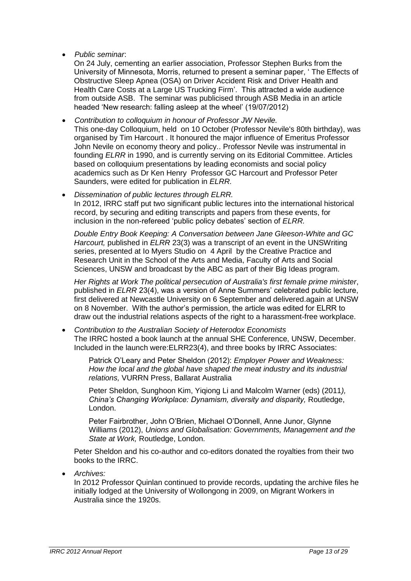*Public seminar*:

On 24 July, cementing an earlier association, Professor Stephen Burks from the University of Minnesota, Morris, returned to present a seminar paper, " The Effects of Obstructive Sleep Apnea (OSA) on Driver Accident Risk and Driver Health and Health Care Costs at a Large US Trucking Firm'. This attracted a wide audience from outside ASB. The seminar was publicised through ASB Media in an article headed "New research: falling asleep at the wheel" (19/07/2012)

 *Contribution to colloquium in honour of Professor JW Nevile.* This one-day Colloquium, held on 10 October (Professor Nevile's 80th birthday), was organised by Tim Harcourt . It honoured the major influence of Emeritus Professor John Nevile on economy theory and policy.. Professor Nevile was instrumental in founding *ELRR* in 1990, and is currently serving on its Editorial Committee. Articles based on colloquium presentations by leading economists and social policy academics such as Dr Ken Henry Professor GC Harcourt and Professor Peter Saunders, were edited for publication in *ELRR.* 

 *Dissemination of public lectures through ELRR.*  In 2012, IRRC staff put two significant public lectures into the international historical record, by securing and editing transcripts and papers from these events, for inclusion in the non-refereed 'public policy debates' section of *ELRR*.

*Double Entry Book Keeping: A Conversation between Jane Gleeson-White and GC Harcourt,* published in *ELRR* 23(3) was a transcript of an event in the UNSWriting series, presented at Io Myers Studio on 4 April by the Creative Practice and Research Unit in the School of the Arts and Media, Faculty of Arts and Social Sciences, UNSW and broadcast by the ABC as part of their Big Ideas program.

*Her Rights at Work The political persecution of Australia's first female prime minister*, published in *ELRR* 23(4), was a version of Anne Summers" celebrated public lecture, first delivered at Newcastle University on 6 September and delivered.again at UNSW on 8 November. With the author"s permission, the article was edited for ELRR to draw out the industrial relations aspects of the right to a harassment-free workplace.

 *Contribution to the Australian Society of Heterodox Economists*  The IRRC hosted a book launch at the annual SHE Conference, UNSW, December. Included in the launch were:ELRR23(4), and three books by IRRC Associates:

Patrick O"Leary and Peter Sheldon (2012): *Employer Power and Weakness: How the local and the global have shaped the meat industry and its industrial relations,* VURRN Press, Ballarat Australia

Peter Sheldon, Sunghoon Kim, Yiqiong Li and Malcolm Warner (eds) (2011*), China's Changing Workplace: Dynamism, diversity and disparity,* Routledge, London.

Peter Fairbrother, John O"Brien, Michael O"Donnell, Anne Junor, Glynne Williams (2012), *Unions and Globalisation: Governments, Management and the State at Work,* Routledge, London.

Peter Sheldon and his co-author and co-editors donated the royalties from their two books to the IRRC.

*Archives:* 

In 2012 Professor Quinlan continued to provide records, updating the archive files he initially lodged at the University of Wollongong in 2009, on Migrant Workers in Australia since the 1920s.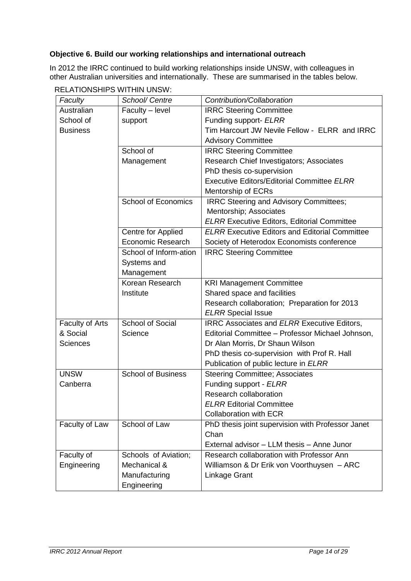## **Objective 6. Build our working relationships and international outreach**

In 2012 the IRRC continued to build working relationships inside UNSW, with colleagues in other Australian universities and internationally. These are summarised in the tables below.

| Faculty         | School/ Centre             | Contribution/Collaboration                            |  |
|-----------------|----------------------------|-------------------------------------------------------|--|
| Australian      | Faculty - level            | <b>IRRC Steering Committee</b>                        |  |
| School of       | support                    | Funding support- ELRR                                 |  |
| <b>Business</b> |                            | Tim Harcourt JW Nevile Fellow - ELRR and IRRC         |  |
|                 |                            | <b>Advisory Committee</b>                             |  |
|                 | School of                  | <b>IRRC Steering Committee</b>                        |  |
|                 | Management                 | Research Chief Investigators; Associates              |  |
|                 |                            | PhD thesis co-supervision                             |  |
|                 |                            | <b>Executive Editors/Editorial Committee ELRR</b>     |  |
|                 |                            | Mentorship of ECRs                                    |  |
|                 | <b>School of Economics</b> | <b>IRRC Steering and Advisory Committees;</b>         |  |
|                 |                            | Mentorship; Associates                                |  |
|                 |                            | <b>ELRR Executive Editors, Editorial Committee</b>    |  |
|                 | Centre for Applied         | <b>ELRR Executive Editors and Editorial Committee</b> |  |
|                 | <b>Economic Research</b>   | Society of Heterodox Economists conference            |  |
|                 | School of Inform-ation     | <b>IRRC Steering Committee</b>                        |  |
|                 | Systems and                |                                                       |  |
|                 | Management                 |                                                       |  |
|                 | Korean Research            | <b>KRI Management Committee</b>                       |  |
|                 | Institute                  | Shared space and facilities                           |  |
|                 |                            | Research collaboration; Preparation for 2013          |  |
|                 |                            | <b>ELRR</b> Special Issue                             |  |
| Faculty of Arts | <b>School of Social</b>    | <b>IRRC Associates and ELRR Executive Editors,</b>    |  |
| & Social        | Science                    | Editorial Committee - Professor Michael Johnson,      |  |
| <b>Sciences</b> |                            | Dr Alan Morris, Dr Shaun Wilson                       |  |
|                 |                            | PhD thesis co-supervision with Prof R. Hall           |  |
|                 |                            | Publication of public lecture in ELRR                 |  |
| <b>UNSW</b>     | <b>School of Business</b>  | <b>Steering Committee; Associates</b>                 |  |
| Canberra        |                            | Funding support - ELRR                                |  |
|                 |                            | Research collaboration                                |  |
|                 |                            | <b>ELRR Editorial Committee</b>                       |  |
|                 |                            | <b>Collaboration with ECR</b>                         |  |
| Faculty of Law  | School of Law              | PhD thesis joint supervision with Professor Janet     |  |
|                 |                            | Chan                                                  |  |
|                 |                            | External advisor - LLM thesis - Anne Junor            |  |
| Faculty of      | Schools of Aviation;       | Research collaboration with Professor Ann             |  |
| Engineering     | Mechanical &               | Williamson & Dr Erik von Voorthuysen - ARC            |  |
|                 | Manufacturing              | Linkage Grant                                         |  |
|                 | Engineering                |                                                       |  |

RELATIONSHIPS WITHIN UNSW: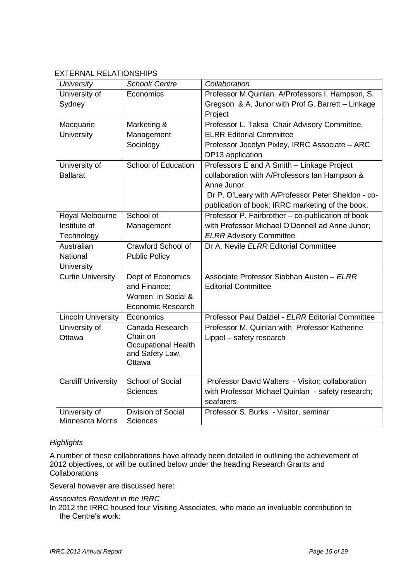## EXTERNAL RELATIONSHIPS

| <b>University</b>         | School/ Centre             | Collaboration                                      |
|---------------------------|----------------------------|----------------------------------------------------|
| University of             | Economics                  | Professor M.Quinlan. A/Professors I. Hampson, S.   |
| Sydney                    |                            | Gregson & A. Junor with Prof G. Barrett - Linkage  |
|                           |                            | Project                                            |
| Macquarie                 | Marketing &                | Professor L. Taksa Chair Advisory Committee,       |
| <b>University</b>         | Management                 | <b>ELRR Editorial Committee</b>                    |
|                           | Sociology                  | Professor Jocelyn Pixley, IRRC Associate - ARC     |
|                           |                            | DP13 application                                   |
| University of             | <b>School of Education</b> | Professors E and A Smith - Linkage Project         |
| <b>Ballarat</b>           |                            | collaboration with A/Professors Ian Hampson &      |
|                           |                            | Anne Junor                                         |
|                           |                            | Dr P. O'Leary with A/Professor Peter Sheldon - co- |
|                           |                            | publication of book; IRRC marketing of the book.   |
| Royal Melbourne           | School of                  | Professor P. Fairbrother - co-publication of book  |
| Institute of              | Management                 | with Professor Michael O'Donnell ad Anne Junor;    |
| Technology                |                            | <b>ELRR Advisory Committee</b>                     |
| Australian                | Crawford School of         | Dr A. Nevile ELRR Editorial Committee              |
| <b>National</b>           | <b>Public Policy</b>       |                                                    |
| University                |                            |                                                    |
| <b>Curtin University</b>  | Dept of Economics          | Associate Professor Siobhan Austen - ELRR          |
|                           | and Finance;               | <b>Editorial Committee</b>                         |
|                           | Women in Social &          |                                                    |
|                           | Economic Research          |                                                    |
| <b>Lincoln University</b> | Economics                  | Professor Paul Dalziel - ELRR Editorial Committee  |
| University of             | Canada Research            | Professor M. Quinlan with Professor Katherine      |
| Ottawa                    | Chair on                   | Lippel - safety research                           |
|                           | <b>Occupational Health</b> |                                                    |
|                           | and Safety Law,<br>Ottawa  |                                                    |
|                           |                            |                                                    |
| <b>Cardiff University</b> | <b>School of Social</b>    | Professor David Walters - Visitor; collaboration   |
|                           | <b>Sciences</b>            | with Professor Michael Quinlan - safety research;  |
|                           |                            | seafarers                                          |
| University of             | Division of Social         | Professor S. Burks - Visitor, seminar              |
| <b>Minnesota Morris</b>   | Sciences                   |                                                    |

#### *Highlights*

A number of these collaborations have already been detailed in outlining the achievement of 2012 objectives, or will be outlined below under the heading Research Grants and Collaborations

Several however are discussed here:

#### *Associates Resident in the IRRC*

In 2012 the IRRC housed four Visiting Associates, who made an invaluable contribution to the Centre's work: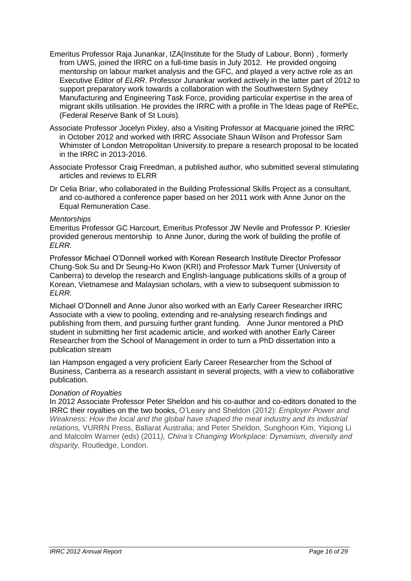- Emeritus Professor Raja Junankar, IZA(Institute for the Study of Labour, Bonn) , formerly from UWS, joined the IRRC on a full-time basis in July 2012. He provided ongoing mentorship on labour market analysis and the GFC, and played a very active role as an Executive Editor of *ELRR*. Professor Junankar worked actively in the latter part of 2012 to support preparatory work towards a collaboration with the Southwestern Sydney Manufacturing and Engineering Task Force, providing particular expertise in the area of migrant skills utilisation. He provides the IRRC with a profile in The Ideas page of RePEc, (Federal Reserve Bank of St Louis).
- Associate Professor Jocelyn Pixley, also a Visiting Professor at Macquarie joined the IRRC in October 2012 and worked with IRRC Associate Shaun Wilson and Professor Sam Whimster of London Metropolitan University.to prepare a research proposal to be located in the IRRC in 2013-2016.
- Associate Professor Craig Freedman, a published author, who submitted several stimulating articles and reviews to ELRR
- Dr Celia Briar, who collaborated in the Building Professional Skills Project as a consultant, and co-authored a conference paper based on her 2011 work with Anne Junor on the Equal Remuneration Case.

#### *Mentorships*

Emeritus Professor GC Harcourt, Emeritus Professor JW Nevile and Professor P. Kriesler provided generous mentorship to Anne Junor, during the work of building the profile of *ELRR.* 

Professor Michael O"Donnell worked with Korean Research Institute Director Professor Chung-Sok Su and Dr Seung-Ho Kwon (KRI) and Professor Mark Turner (University of Canberra) to develop the research and English-language publications skills of a group of Korean, Vietnamese and Malaysian scholars, with a view to subsequent submission to *ELRR.*

Michael O"Donnell and Anne Junor also worked with an Early Career Researcher IRRC Associate with a view to pooling, extending and re-analysing research findings and publishing from them, and pursuing further grant funding. Anne Junor mentored a PhD student in submitting her first academic article, and worked with another Early Career Researcher from the School of Management in order to turn a PhD dissertation into a publication stream

Ian Hampson engaged a very proficient Early Career Researcher from the School of Business, Canberra as a research assistant in several projects, with a view to collaborative publication.

#### *Donation of Royalties*

In 2012 Associate Professor Peter Sheldon and his co-author and co-editors donated to the IRRC their royalties on the two books, O"Leary and Sheldon (2012): *Employer Power and Weakness: How the local and the global have shaped the meat industry and its industrial relations,* VURRN Press, Ballarat Australia; and Peter Sheldon, Sunghoon Kim, Yiqiong Li and Malcolm Warner (eds) (2011*), China's Changing Workplace: Dynamism, diversity and disparity,* Routledge, London.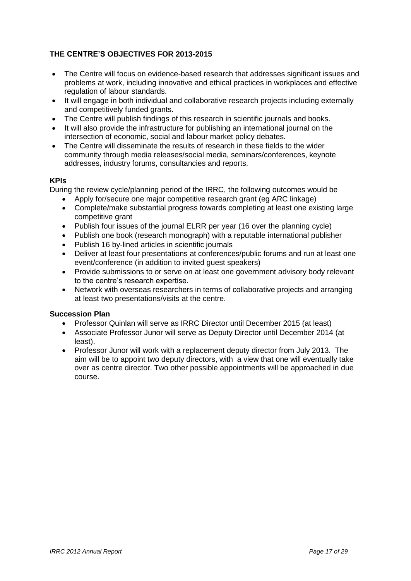### **THE CENTRE'S OBJECTIVES FOR 2013-2015**

- The Centre will focus on evidence-based research that addresses significant issues and problems at work, including innovative and ethical practices in workplaces and effective regulation of labour standards.
- It will engage in both individual and collaborative research projects including externally and competitively funded grants.
- The Centre will publish findings of this research in scientific journals and books.
- It will also provide the infrastructure for publishing an international journal on the intersection of economic, social and labour market policy debates.
- The Centre will disseminate the results of research in these fields to the wider community through media releases/social media, seminars/conferences, keynote addresses, industry forums, consultancies and reports.

#### **KPIs**

During the review cycle/planning period of the IRRC, the following outcomes would be

- Apply for/secure one major competitive research grant (eg ARC linkage)
- Complete/make substantial progress towards completing at least one existing large competitive grant
- Publish four issues of the journal ELRR per year (16 over the planning cycle)
- Publish one book (research monograph) with a reputable international publisher
- Publish 16 by-lined articles in scientific journals
- Deliver at least four presentations at conferences/public forums and run at least one event/conference (in addition to invited guest speakers)
- Provide submissions to or serve on at least one government advisory body relevant to the centre"s research expertise.
- Network with overseas researchers in terms of collaborative projects and arranging at least two presentations/visits at the centre.

#### **Succession Plan**

- Professor Quinlan will serve as IRRC Director until December 2015 (at least)
- Associate Professor Junor will serve as Deputy Director until December 2014 (at least).
- Professor Junor will work with a replacement deputy director from July 2013. The aim will be to appoint two deputy directors, with a view that one will eventually take over as centre director. Two other possible appointments will be approached in due course.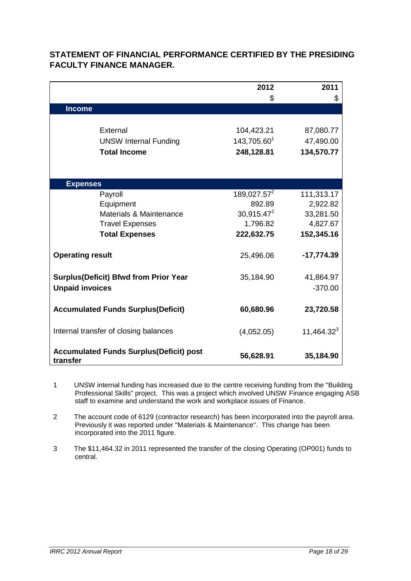|                                                 | 2012                    | 2011          |
|-------------------------------------------------|-------------------------|---------------|
|                                                 | \$                      | \$            |
| <b>Income</b>                                   |                         |               |
|                                                 |                         |               |
| External                                        | 104,423.21              | 87,080.77     |
| <b>UNSW Internal Funding</b>                    | 143,705.601             | 47,490.00     |
| <b>Total Income</b>                             | 248,128.81              | 134,570.77    |
|                                                 |                         |               |
|                                                 |                         |               |
| <b>Expenses</b>                                 |                         |               |
| Payroll                                         | 189,027.57 <sup>2</sup> | 111,313.17    |
| Equipment                                       | 892.89                  | 2,922.82      |
| Materials & Maintenance                         | $30,915.47^2$           | 33,281.50     |
| <b>Travel Expenses</b>                          | 1,796.82                | 4,827.67      |
| <b>Total Expenses</b>                           | 222,632.75              | 152,345.16    |
|                                                 |                         |               |
| <b>Operating result</b>                         | 25,496.06               | $-17,774.39$  |
|                                                 |                         |               |
| <b>Surplus(Deficit) Bfwd from Prior Year</b>    | 35,184.90               | 41,864.97     |
| <b>Unpaid invoices</b>                          |                         | $-370.00$     |
|                                                 |                         |               |
| <b>Accumulated Funds Surplus (Deficit)</b>      | 60,680.96               | 23,720.58     |
|                                                 |                         |               |
| Internal transfer of closing balances           | (4,052.05)              | $11,464.32^3$ |
|                                                 |                         |               |
| <b>Accumulated Funds Surplus (Deficit) post</b> | 56,628.91               | 35,184.90     |
| transfer                                        |                         |               |

# **STATEMENT OF FINANCIAL PERFORMANCE CERTIFIED BY THE PRESIDING FACULTY FINANCE MANAGER.**

- 1 UNSW internal funding has increased due to the centre receiving funding from the "Building Professional Skills" project. This was a project which involved UNSW Finance engaging ASB staff to examine and understand the work and workplace issues of Finance.
- 2 The account code of 6129 (contractor research) has been incorporated into the payroll area. Previously it was reported under "Materials & Maintenance". This change has been incorporated into the 2011 figure.
- 3 The \$11,464.32 in 2011 represented the transfer of the closing Operating (OP001) funds to central.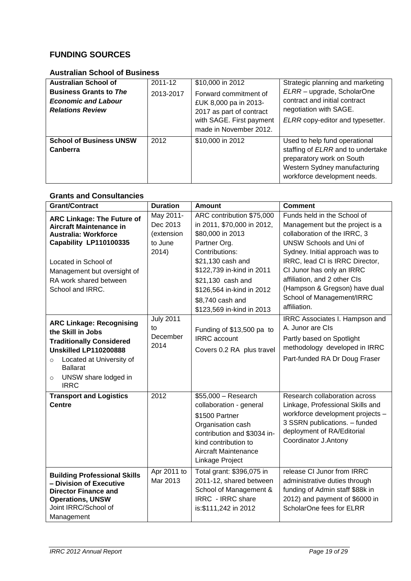# **FUNDING SOURCES**

# **Australian School of Business**

| <b>Australian School of</b>                                                            | 2011-12   | \$10,000 in 2012                                                                                                                 | Strategic planning and marketing                                                                                                                                |
|----------------------------------------------------------------------------------------|-----------|----------------------------------------------------------------------------------------------------------------------------------|-----------------------------------------------------------------------------------------------------------------------------------------------------------------|
| <b>Business Grants to The</b><br><b>Economic and Labour</b><br><b>Relations Review</b> | 2013-2017 | Forward commitment of<br>£UK 8,000 pa in 2013-<br>2017 as part of contract<br>with SAGE. First payment<br>made in November 2012. | ELRR - upgrade, ScholarOne<br>contract and initial contract<br>negotiation with SAGE.<br>ELRR copy-editor and typesetter.                                       |
| <b>School of Business UNSW</b><br>Canberra                                             | 2012      | \$10,000 in 2012                                                                                                                 | Used to help fund operational<br>staffing of ELRR and to undertake<br>preparatory work on South<br>Western Sydney manufacturing<br>workforce development needs. |

# **Grants and Consultancies**

| <b>Grant/Contract</b>                                                                                                                                                                                                               | <b>Duration</b>                                         | <b>Amount</b>                                                                                                                                                                                                                                                      | <b>Comment</b>                                                                                                                                                                                                                                                                                                                                    |
|-------------------------------------------------------------------------------------------------------------------------------------------------------------------------------------------------------------------------------------|---------------------------------------------------------|--------------------------------------------------------------------------------------------------------------------------------------------------------------------------------------------------------------------------------------------------------------------|---------------------------------------------------------------------------------------------------------------------------------------------------------------------------------------------------------------------------------------------------------------------------------------------------------------------------------------------------|
| <b>ARC Linkage: The Future of</b><br><b>Aircraft Maintenance in</b><br><b>Australia: Workforce</b><br>Capability LP110100335<br>Located in School of<br>Management but oversight of<br>RA work shared between<br>School and IRRC.   | May 2011-<br>Dec 2013<br>(extension<br>to June<br>2014) | ARC contribution \$75,000<br>in 2011, \$70,000 in 2012,<br>\$80,000 in 2013<br>Partner Org.<br>Contributions:<br>\$21,130 cash and<br>\$122,739 in-kind in 2011<br>\$21,130 cash and<br>\$126,564 in-kind in 2012<br>\$8,740 cash and<br>\$123,569 in-kind in 2013 | Funds held in the School of<br>Management but the project is a<br>collaboration of the IRRC, 3<br><b>UNSW Schools and Uni of</b><br>Sydney. Initial approach was to<br>IRRC, lead CI is IRRC Director,<br>CI Junor has only an IRRC<br>affiliation, and 2 other CIs<br>(Hampson & Gregson) have dual<br>School of Management/IRRC<br>affiliation. |
| <b>ARC Linkage: Recognising</b><br>the Skill in Jobs<br><b>Traditionally Considered</b><br><b>Unskilled LP110200888</b><br>Located at University of<br>$\circ$<br><b>Ballarat</b><br>UNSW share lodged in<br>$\circ$<br><b>IRRC</b> | <b>July 2011</b><br>to<br>December<br>2014              | Funding of \$13,500 pa to<br><b>IRRC</b> account<br>Covers 0.2 RA plus travel                                                                                                                                                                                      | IRRC Associates I. Hampson and<br>A. Junor are CIs<br>Partly based on Spotlight<br>methodology developed in IRRC<br>Part-funded RA Dr Doug Fraser                                                                                                                                                                                                 |
| <b>Transport and Logistics</b><br><b>Centre</b>                                                                                                                                                                                     | 2012                                                    | $$55,000 - Research$<br>collaboration - general<br>\$1500 Partner<br>Organisation cash<br>contribution and \$3034 in-<br>kind contribution to<br>Aircraft Maintenance<br>Linkage Project                                                                           | Research collaboration across<br>Linkage, Professional Skills and<br>workforce development projects -<br>3 SSRN publications. - funded<br>deployment of RA/Editorial<br>Coordinator J.Antony                                                                                                                                                      |
| <b>Building Professional Skills</b><br>- Division of Executive<br><b>Director Finance and</b><br><b>Operations, UNSW</b><br>Joint IRRC/School of<br>Management                                                                      | Apr 2011 to<br>Mar 2013                                 | Total grant: \$396,075 in<br>2011-12, shared between<br>School of Management &<br>IRRC - IRRC share<br>is: \$111, 242 in 2012                                                                                                                                      | release CI Junor from IRRC<br>administrative duties through<br>funding of Admin staff \$88k in<br>2012) and payment of \$6000 in<br>ScholarOne fees for ELRR                                                                                                                                                                                      |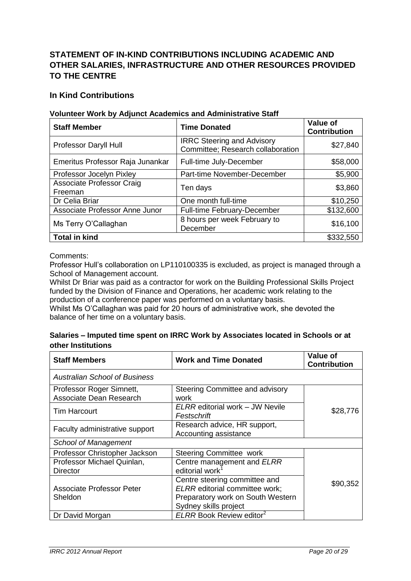# **STATEMENT OF IN-KIND CONTRIBUTIONS INCLUDING ACADEMIC AND OTHER SALARIES, INFRASTRUCTURE AND OTHER RESOURCES PROVIDED TO THE CENTRE**

### **In Kind Contributions**

#### **Volunteer Work by Adjunct Academics and Administrative Staff**

| <b>Staff Member</b>                         | <b>Time Donated</b>                                                    | Value of<br><b>Contribution</b> |
|---------------------------------------------|------------------------------------------------------------------------|---------------------------------|
| Professor Daryll Hull                       | <b>IRRC Steering and Advisory</b><br>Committee; Research collaboration | \$27,840                        |
| Emeritus Professor Raja Junankar            | Full-time July-December                                                | \$58,000                        |
| Professor Jocelyn Pixley                    | Part-time November-December                                            | \$5,900                         |
| <b>Associate Professor Craig</b><br>Freeman | Ten days                                                               | \$3,860                         |
| Dr Celia Briar                              | One month full-time                                                    | \$10,250                        |
| Associate Professor Anne Junor              | <b>Full-time February-December</b>                                     | \$132,600                       |
| Ms Terry O'Callaghan                        | 8 hours per week February to<br>December                               | \$16,100                        |
| <b>Total in kind</b>                        |                                                                        | \$332,550                       |

Comments:

Professor Hull"s collaboration on LP110100335 is excluded, as project is managed through a School of Management account.

Whilst Dr Briar was paid as a contractor for work on the Building Professional Skills Project funded by the Division of Finance and Operations, her academic work relating to the production of a conference paper was performed on a voluntary basis.

Whilst Ms O"Callaghan was paid for 20 hours of administrative work, she devoted the balance of her time on a voluntary basis.

#### **Salaries – Imputed time spent on IRRC Work by Associates located in Schools or at other Institutions**

| <b>Staff Members</b>                   | <b>Work and Time Donated</b>                                           | <b>Value of</b><br><b>Contribution</b> |
|----------------------------------------|------------------------------------------------------------------------|----------------------------------------|
| Australian School of Business          |                                                                        |                                        |
| Professor Roger Simnett,               | Steering Committee and advisory                                        |                                        |
| Associate Dean Research                | work                                                                   |                                        |
| <b>Tim Harcourt</b>                    | ELRR editorial work - JW Nevile<br>Festschrift                         | \$28,776                               |
| Faculty administrative support         | Research advice, HR support,<br>Accounting assistance                  |                                        |
| School of Management                   |                                                                        |                                        |
| Professor Christopher Jackson          | <b>Steering Committee work</b>                                         |                                        |
| Professor Michael Quinlan,<br>Director | Centre management and ELRR<br>editorial work <sup>1</sup>              |                                        |
| <b>Associate Professor Peter</b>       | Centre steering committee and<br><b>ELRR</b> editorial committee work; | \$90,352                               |
| Sheldon                                | Preparatory work on South Western                                      |                                        |
|                                        | Sydney skills project                                                  |                                        |
| Dr David Morgan                        | ELRR Book Review editor <sup>2</sup>                                   |                                        |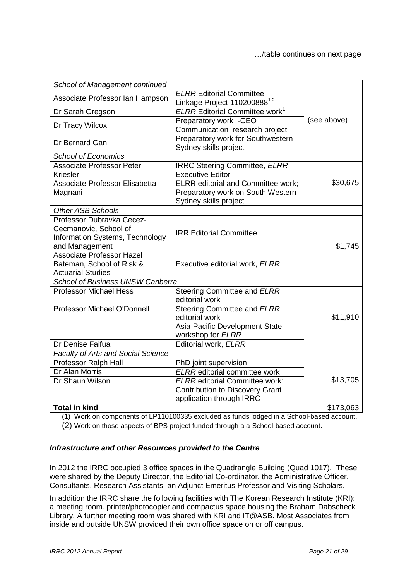| School of Management continued                                                                          |                                                                                                             |             |
|---------------------------------------------------------------------------------------------------------|-------------------------------------------------------------------------------------------------------------|-------------|
| Associate Professor Ian Hampson                                                                         | <b>ELRR Editorial Committee</b><br>Linkage Project 110200888 <sup>12</sup>                                  |             |
| Dr Sarah Gregson                                                                                        | <b>ELRR Editorial Committee work<sup>1</sup></b>                                                            |             |
| Dr Tracy Wilcox                                                                                         | Preparatory work -CEO<br>Communication research project                                                     | (see above) |
| Dr Bernard Gan                                                                                          | Preparatory work for Southwestern<br>Sydney skills project                                                  |             |
| <b>School of Economics</b>                                                                              |                                                                                                             |             |
| <b>Associate Professor Peter</b><br>Kriesler                                                            | <b>IRRC Steering Committee, ELRR</b><br><b>Executive Editor</b>                                             |             |
| <b>Associate Professor Elisabetta</b><br>Magnani                                                        | <b>ELRR</b> editorial and Committee work;<br>Preparatory work on South Western<br>Sydney skills project     | \$30,675    |
| <b>Other ASB Schools</b>                                                                                |                                                                                                             |             |
| Professor Dubravka Cecez-<br>Cecmanovic, School of<br>Information Systems, Technology<br>and Management | <b>IRR Editorial Committee</b>                                                                              | \$1,745     |
| <b>Associate Professor Hazel</b><br>Bateman, School of Risk &<br><b>Actuarial Studies</b>               | Executive editorial work, ELRR                                                                              |             |
| School of Business UNSW Canberra                                                                        |                                                                                                             |             |
| <b>Professor Michael Hess</b>                                                                           | Steering Committee and ELRR<br>editorial work                                                               |             |
| Professor Michael O'Donnell                                                                             | Steering Committee and ELRR<br>editorial work<br>Asia-Pacific Development State<br>workshop for ELRR        | \$11,910    |
| Dr Denise Faifua                                                                                        | Editorial work, ELRR                                                                                        |             |
| <b>Faculty of Arts and Social Science</b>                                                               |                                                                                                             |             |
| Professor Ralph Hall                                                                                    | PhD joint supervision                                                                                       |             |
| Dr Alan Morris                                                                                          | <b>ELRR</b> editorial committee work                                                                        |             |
| Dr Shaun Wilson                                                                                         | <b>ELRR</b> editorial Committee work:<br><b>Contribution to Discovery Grant</b><br>application through IRRC | \$13,705    |
| <b>Total in kind</b>                                                                                    |                                                                                                             | \$173,063   |

(1) Work on components of LP110100335 excluded as funds lodged in a School-based account.

(2) Work on those aspects of BPS project funded through a a School-based account.

#### *Infrastructure and other Resources provided to the Centre*

In 2012 the IRRC occupied 3 office spaces in the Quadrangle Building (Quad 1017). These were shared by the Deputy Director, the Editorial Co-ordinator, the Administrative Officer, Consultants, Research Assistants, an Adjunct Emeritus Professor and Visiting Scholars.

In addition the IRRC share the following facilities with The Korean Research Institute (KRI): a meeting room. printer/photocopier and compactus space housing the Braham Dabscheck Library. A further meeting room was shared with KRI and IT@ASB. Most Associates from inside and outside UNSW provided their own office space on or off campus.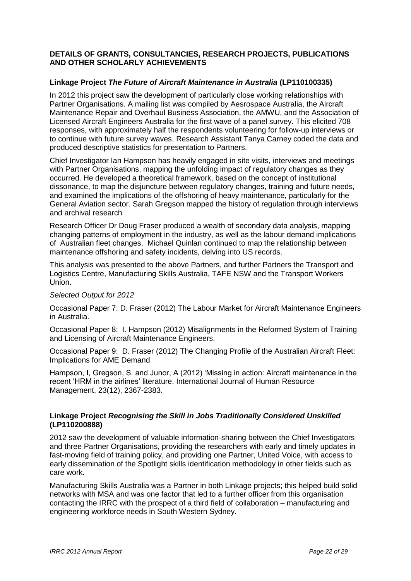#### **DETAILS OF GRANTS, CONSULTANCIES, RESEARCH PROJECTS, PUBLICATIONS AND OTHER SCHOLARLY ACHIEVEMENTS**

#### **Linkage Project** *The Future of Aircraft Maintenance in Australia* **(LP110100335)**

In 2012 this project saw the development of particularly close working relationships with Partner Organisations. A mailing list was compiled by Aesrospace Australia, the Aircraft Maintenance Repair and Overhaul Business Association, the AMWU, and the Association of Licensed Aircraft Engineers Australia for the first wave of a panel survey. This elicited 708 responses, with approximately half the respondents volunteering for follow-up interviews or to continue with future survey waves. Research Assistant Tanya Carney coded the data and produced descriptive statistics for presentation to Partners.

Chief Investigator Ian Hampson has heavily engaged in site visits, interviews and meetings with Partner Organisations, mapping the unfolding impact of regulatory changes as they occurred. He developed a theoretical framework, based on the concept of institutional dissonance, to map the disjuncture between regulatory changes, training and future needs, and examined the implications of the offshoring of heavy maintenance, particularly for the General Aviation sector. Sarah Gregson mapped the history of regulation through interviews and archival research

Research Officer Dr Doug Fraser produced a wealth of secondary data analysis, mapping changing patterns of employment in the industry, as well as the labour demand implications of Australian fleet changes. Michael Quinlan continued to map the relationship between maintenance offshoring and safety incidents, delving into US records.

This analysis was presented to the above Partners, and further Partners the Transport and Logistics Centre, Manufacturing Skills Australia, TAFE NSW and the Transport Workers Union.

#### *Selected Output for 2012*

Occasional Paper 7: D. Fraser (2012) The Labour Market for Aircraft Maintenance Engineers in Australia.

Occasional Paper 8: I. Hampson (2012) Misalignments in the Reformed System of Training and Licensing of Aircraft Maintenance Engineers.

Occasional Paper 9: D. Fraser (2012) The Changing Profile of the Australian Aircraft Fleet: Implications for AME Demand

Hampson, I, Gregson, S. and Junor, A (2012) "Missing in action: Aircraft maintenance in the recent "HRM in the airlines" literature. International Journal of Human Resource Management, 23(12), 2367-2383.

#### **Linkage Project** *Recognising the Skill in Jobs Traditionally Considered Unskilled*  **(LP110200888)**

2012 saw the development of valuable information-sharing between the Chief Investigators and three Partner Organisations, providing the researchers with early and timely updates in fast-moving field of training policy, and providing one Partner, United Voice, with access to early dissemination of the Spotlight skills identification methodology in other fields such as care work.

Manufacturing Skills Australia was a Partner in both Linkage projects; this helped build solid networks with MSA and was one factor that led to a further officer from this organisation contacting the IRRC with the prospect of a third field of collaboration – manufacturing and engineering workforce needs in South Western Sydney.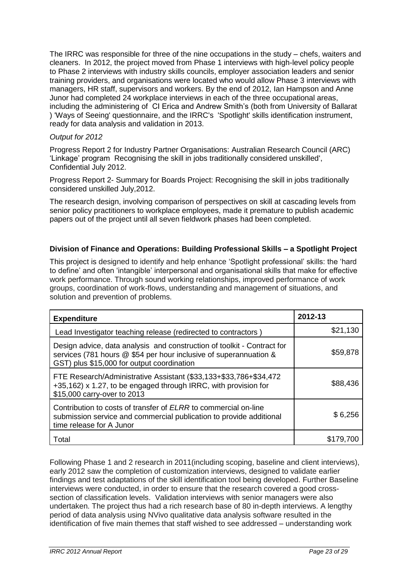The IRRC was responsible for three of the nine occupations in the study – chefs, waiters and cleaners. In 2012, the project moved from Phase 1 interviews with high-level policy people to Phase 2 interviews with industry skills councils, employer association leaders and senior training providers, and organisations were located who would allow Phase 3 interviews with managers, HR staff, supervisors and workers. By the end of 2012, Ian Hampson and Anne Junor had completed 24 workplace interviews in each of the three occupational areas, including the administering of CI Erica and Andrew Smith's (both from University of Ballarat ) 'Ways of Seeing' questionnaire, and the IRRC's 'Spotlight' skills identification instrument, ready for data analysis and validation in 2013.

#### *Output for 2012*

Progress Report 2 for Industry Partner Organisations: Australian Research Council (ARC) "Linkage" program Recognising the skill in jobs traditionally considered unskilled', Confidential July 2012.

Progress Report 2- Summary for Boards Project: Recognising the skill in jobs traditionally considered unskilled July,2012.

The research design, involving comparison of perspectives on skill at cascading levels from senior policy practitioners to workplace employees, made it premature to publish academic papers out of the project until all seven fieldwork phases had been completed.

#### **Division of Finance and Operations: Building Professional Skills – a Spotlight Project**

This project is designed to identify and help enhance "Spotlight professional" skills: the "hard to define" and often "intangible" interpersonal and organisational skills that make for effective work performance. Through sound working relationships, improved performance of work groups, coordination of work-flows, understanding and management of situations, and solution and prevention of problems.

| <b>Expenditure</b>                                                                                                                                                                         | 2012-13   |
|--------------------------------------------------------------------------------------------------------------------------------------------------------------------------------------------|-----------|
| Lead Investigator teaching release (redirected to contractors)                                                                                                                             | \$21,130  |
| Design advice, data analysis and construction of toolkit - Contract for<br>services (781 hours @ \$54 per hour inclusive of superannuation &<br>GST) plus \$15,000 for output coordination | \$59,878  |
| FTE Research/Administrative Assistant (\$33,133+\$33,786+\$34,472<br>+35,162) x 1.27, to be engaged through IRRC, with provision for<br>\$15,000 carry-over to 2013                        | \$88,436  |
| Contribution to costs of transfer of ELRR to commercial on-line<br>submission service and commercial publication to provide additional<br>time release for A Junor                         | \$6,256   |
| Total                                                                                                                                                                                      | \$179.700 |

Following Phase 1 and 2 research in 2011(including scoping, baseline and client interviews), early 2012 saw the completion of customization interviews, designed to validate earlier findings and test adaptations of the skill identification tool being developed. Further Baseline interviews were conducted, in order to ensure that the research covered a good crosssection of classification levels. Validation interviews with senior managers were also undertaken. The project thus had a rich research base of 80 in-depth interviews. A lengthy period of data analysis using NVivo qualitative data analysis software resulted in the identification of five main themes that staff wished to see addressed – understanding work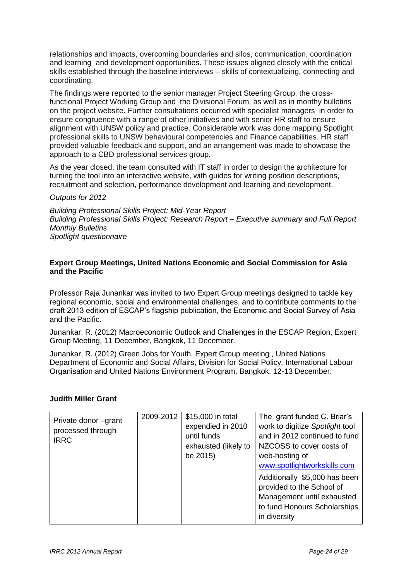relationships and impacts, overcoming boundaries and silos, communication, coordination and learning and development opportunities. These issues aligned closely with the critical skills established through the baseline interviews – skills of contextualizing, connecting and coordinating.

The findings were reported to the senior manager Project Steering Group, the crossfunctional Project Working Group and the Divisional Forum, as well as in monthy bulletins on the project website. Further consultations occurred with specialist managers in order to ensure congruence with a range of other initiatives and with senior HR staff to ensure alignment with UNSW policy and practice. Considerable work was done mapping Spotlight professional skills to UNSW behavioural competencies and Finance capabilities. HR staff provided valuable feedback and support, and an arrangement was made to showcase the approach to a CBD professional services group.

As the year closed, the team consulted with IT staff in order to design the architecture for turning the tool into an interactive website, with guides for writing position descriptions, recruitment and selection, performance development and learning and development.

#### *Outputs for 2012*

*Building Professional Skills Project: Mid-Year Report Building Professional Skills Project: Research Report – Executive summary and Full Report Monthly Bulletins Spotlight questionnaire* 

#### **Expert Group Meetings, United Nations Economic and Social Commission for Asia and the Pacific**

Professor Raja Junankar was invited to two Expert Group meetings designed to tackle key regional economic, social and environmental challenges, and to contribute comments to the draft 2013 edition of ESCAP"s flagship publication, the Economic and Social Survey of Asia and the Pacific.

Junankar, R. (2012) Macroeconomic Outlook and Challenges in the ESCAP Region, Expert Group Meeting, 11 December, Bangkok, 11 December.

Junankar, R. (2012) Green Jobs for Youth. Expert Group meeting , United Nations Department of Economic and Social Affairs, Division for Social Policy, International Labour Organisation and United Nations Environment Program, Bangkok, 12-13 December.

#### **Judith Miller Grant**

| Private donor -grant<br>processed through<br><b>IRRC</b> | 2009-2012 | \$15,000 in total<br>expendied in 2010<br>until funds<br>exhausted (likely to<br>be 2015) | The grant funded C. Briar's<br>work to digitize Spotlight tool<br>and in 2012 continued to fund<br>NZCOSS to cover costs of<br>web-hosting of<br>www.spotlightworkskills.com |
|----------------------------------------------------------|-----------|-------------------------------------------------------------------------------------------|------------------------------------------------------------------------------------------------------------------------------------------------------------------------------|
|                                                          |           |                                                                                           | Additionally \$5,000 has been<br>provided to the School of<br>Management until exhausted<br>to fund Honours Scholarships<br>in diversity                                     |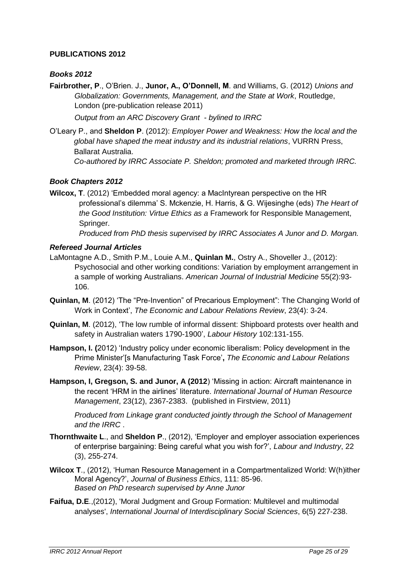#### **PUBLICATIONS 2012**

#### *Books 2012*

**Fairbrother, P**., O"Brien. J., **Junor, A., O'Donnell, M**. and Williams, G. (2012) *Unions and Globalization: Governments, Management, and the State at Work*, Routledge, London (pre-publication release 2011)

*Output from an ARC Discovery Grant - bylined to IRRC*

O"Leary P., and **Sheldon P**. (2012): *Employer Power and Weakness: How the local and the global have shaped the meat industry and its industrial relations*, VURRN Press, Ballarat Australia.

*Co-authored by IRRC Associate P. Sheldon; promoted and marketed through IRRC.*

#### *Book Chapters 2012*

**Wilcox, T**. (2012) "Embedded moral agency: a MacIntyrean perspective on the HR professional"s dilemma" S. Mckenzie, H. Harris, & G. Wijesinghe (eds) *The Heart of the Good Institution: Virtue Ethics as a* Framework for Responsible Management, Springer.

*Produced from PhD thesis supervised by IRRC Associates A Junor and D. Morgan.*

#### *Refereed Journal Articles*

- LaMontagne A.D., Smith P.M., Louie A.M., **Quinlan M.**, Ostry A., Shoveller J., (2012): Psychosocial and other working conditions: Variation by employment arrangement in a sample of working Australians. *American Journal of Industrial Medicine* 55(2):93- 106.
- **Quinlan, M**. (2012) "The "Pre-Invention" of Precarious Employment": The Changing World of Work in Context", *The Economic and Labour Relations Review*, 23(4): 3-24.
- **Quinlan, M**. (2012), "The low rumble of informal dissent: Shipboard protests over health and safety in Australian waters 1790-1900", *Labour History* 102:131-155.
- **Hampson, I. (**2012) "Industry policy under economic liberalism: Policy development in the Prime Minister"[s Manufacturing Task Force"**,** *The Economic and Labour Relations Review*, 23(4): 39-58.
- **Hampson, I, Gregson, S. and Junor, A (2012**) "Missing in action: Aircraft maintenance in the recent "HRM in the airlines" literature. *International Journal of Human Resource Management*, 23(12), 2367-2383. (published in Firstview, 2011)

*Produced from Linkage grant conducted jointly through the School of Management and the IRRC* .

- **Thornthwaite L**., and **Sheldon P**., (2012), "Employer and employer association experiences of enterprise bargaining: Being careful what you wish for?", *Labour and Industry*, 22 (3), 255-274.
- **Wilcox T**., (2012), "Human Resource Management in a Compartmentalized World: W(h)ither Moral Agency?", *Journal of Business Ethics*, 111: 85-96. *Based on PhD research supervised by Anne Junor*
- **Faifua, D.E**.,(2012), 'Moral Judgment and Group Formation: Multilevel and multimodal analyses', *International Journal of Interdisciplinary Social Sciences*, 6(5) 227-238.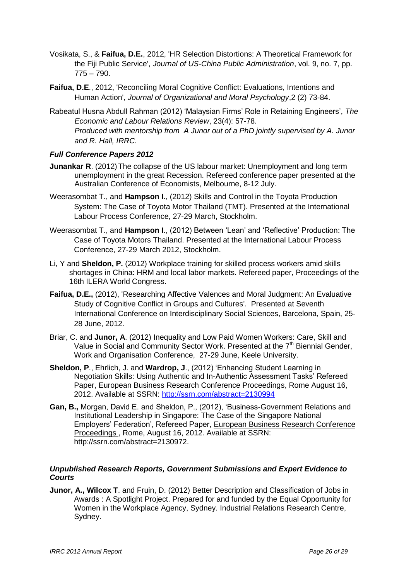- Vosikata, S., & **Faifua, D.E.**, 2012, 'HR Selection Distortions: A Theoretical Framework for the Fiji Public Service', *Journal of US-China Public Administration*, vol. 9, no. 7, pp. 775 – 790.
- **Faifua, D.E**., 2012, 'Reconciling Moral Cognitive Conflict: Evaluations, Intentions and Human Action', *Journal of Organizational and Moral Psychology*,2 (2) 73-84.
- Rabeatul Husna Abdull Rahman (2012) "Malaysian Firms" Role in Retaining Engineers", *The Economic and Labour Relations Review*, 23(4): 57-78. *Produced with mentorship from A Junor out of a PhD jointly supervised by A. Junor and R. Hall, IRRC.*

#### *Full Conference Papers 2012*

- **Junankar R**. (2012) The collapse of the US labour market: Unemployment and long term unemployment in the great Recession. Refereed conference paper presented at the Australian Conference of Economists, Melbourne, 8-12 July.
- Weerasombat T., and **Hampson I**., (2012) Skills and Control in the Toyota Production System: The Case of Toyota Motor Thailand (TMT). Presented at the International Labour Process Conference, 27-29 March, Stockholm.
- Weerasombat T., and **Hampson I**., (2012) Between "Lean" and "Reflective" Production: The Case of Toyota Motors Thailand. Presented at the International Labour Process Conference, 27-29 March 2012, Stockholm.
- Li, Y and **Sheldon, P.** (2012) Workplace training for skilled process workers amid skills shortages in China: HRM and local labor markets. Refereed paper, Proceedings of the 16th ILERA World Congress.
- **Faifua, D.E.,** (2012), 'Researching Affective Valences and Moral Judgment: An Evaluative Study of Cognitive Conflict in Groups and Cultures'. Presented at Seventh International Conference on Interdisciplinary Social Sciences, Barcelona, Spain, 25- 28 June, 2012.
- Briar, C. and **Junor, A**. (2012) Inequality and Low Paid Women Workers: Care, Skill and Value in Social and Community Sector Work. Presented at the 7<sup>th</sup> Biennial Gender, Work and Organisation Conference, 27-29 June, Keele University.
- **Sheldon, P**., Ehrlich, J. and **Wardrop, J**., (2012) "Enhancing Student Learning in Negotiation Skills: Using Authentic and In-Authentic Assessment Tasks" Refereed Paper, European Business Research Conference Proceedings, Rome August 16, 2012. Available at SSRN:<http://ssrn.com/abstract=2130994>
- **Gan, B.,** Morgan, David E. and Sheldon, P., (2012), "Business-Government Relations and Institutional Leadership in Singapore: The Case of the Singapore National Employers" Federation", Refereed Paper, European Business Research Conference Proceedings , Rome, August 16, 2012. Available at SSRN: http://ssrn.com/abstract=2130972.

#### *Unpublished Research Reports, Government Submissions and Expert Evidence to Courts*

**Junor, A., Wilcox T**. and Fruin, D. (2012) Better Description and Classification of Jobs in Awards : A Spotlight Project. Prepared for and funded by the Equal Opportunity for Women in the Workplace Agency, Sydney. Industrial Relations Research Centre, Sydney.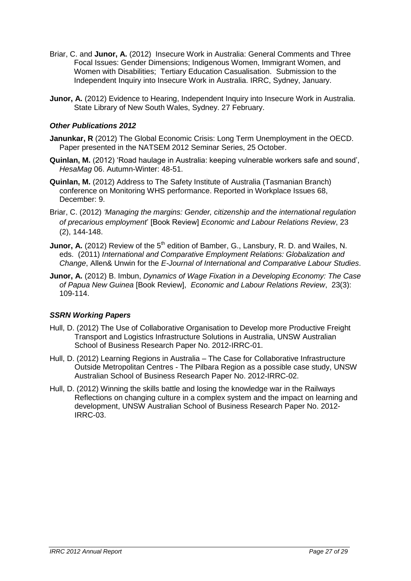- Briar, C. and **Junor, A.** (2012) Insecure Work in Australia: General Comments and Three Focal Issues: Gender Dimensions; Indigenous Women, Immigrant Women, and Women with Disabilities; Tertiary Education Casualisation. Submission to the Independent Inquiry into Insecure Work in Australia. IRRC, Sydney, January.
- **Junor, A.** (2012) Evidence to Hearing, Independent Inquiry into Insecure Work in Australia. State Library of New South Wales, Sydney. 27 February.

#### *Other Publications 2012*

- **Janunkar, R** (2012) The Global Economic Crisis: Long Term Unemployment in the OECD. Paper presented in the NATSEM 2012 Seminar Series, 25 October.
- **Quinlan, M.** (2012) 'Road haulage in Australia: keeping vulnerable workers safe and sound', *HesaMag* 06. Autumn-Winter: 48-51.
- **Quinlan, M.** (2012) Address to The Safety Institute of Australia (Tasmanian Branch) conference on Monitoring WHS performance. Reported in Workplace Issues 68, December: 9.
- Briar, C. (2012) *'Managing the margins: Gender, citizenship and the international regulation of precarious employment*" [Book Review] *Economic and Labour Relations Review*, 23 (2), 144-148.
- **Junor, A.** (2012) Review of the 5<sup>th</sup> edition of Bamber, G., Lansbury, R. D. and Wailes, N. eds. (2011) *International and Comparative Employment Relations: Globalization and Change*, Allen& Unwin for the *E-Journal of International and Comparative Labour Studies*.
- **Junor, A.** (2012) B. Imbun, *Dynamics of Wage Fixation in a Developing Economy: The Case of Papua New Guinea* [Book Review], *Economic and Labour Relations Review*, 23(3): 109-114.

#### *SSRN Working Papers*

- Hull, D. (2012) The Use of Collaborative Organisation to Develop more Productive Freight Transport and Logistics Infrastructure Solutions in Australia, UNSW Australian School of Business Research Paper No. 2012-IRRC-01.
- Hull, D. (2012) Learning Regions in Australia The Case for Collaborative Infrastructure Outside Metropolitan Centres - The Pilbara Region as a possible case study, UNSW Australian School of Business Research Paper No. 2012-IRRC-02.
- Hull, D. (2012) Winning the skills battle and losing the knowledge war in the Railways Reflections on changing culture in a complex system and the impact on learning and development, UNSW Australian School of Business Research Paper No. 2012- IRRC-03.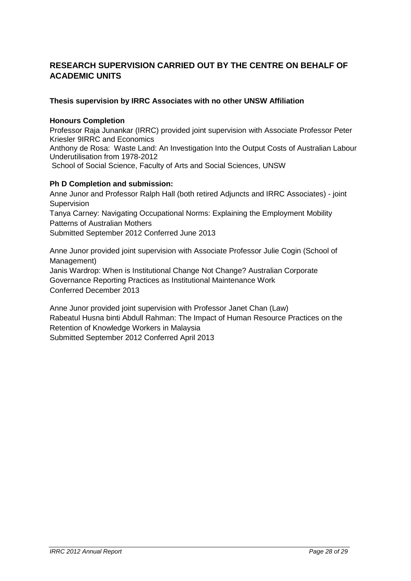# **RESEARCH SUPERVISION CARRIED OUT BY THE CENTRE ON BEHALF OF ACADEMIC UNITS**

#### **Thesis supervision by IRRC Associates with no other UNSW Affiliation**

#### **Honours Completion**

Professor Raja Junankar (IRRC) provided joint supervision with Associate Professor Peter Kriesler 9IRRC and Economics Anthony de Rosa: Waste Land: An Investigation Into the Output Costs of Australian Labour Underutilisation from 1978-2012 School of Social Science, Faculty of Arts and Social Sciences, UNSW

#### **Ph D Completion and submission:**

Anne Junor and Professor Ralph Hall (both retired Adjuncts and IRRC Associates) - joint Supervision Tanya Carney: Navigating Occupational Norms: Explaining the Employment Mobility Patterns of Australian Mothers Submitted September 2012 Conferred June 2013

Anne Junor provided joint supervision with Associate Professor Julie Cogin (School of Management) Janis Wardrop: When is Institutional Change Not Change? Australian Corporate Governance Reporting Practices as Institutional Maintenance Work Conferred December 2013

Anne Junor provided joint supervision with Professor Janet Chan (Law) Rabeatul Husna binti Abdull Rahman: The Impact of Human Resource Practices on the Retention of Knowledge Workers in Malaysia Submitted September 2012 Conferred April 2013